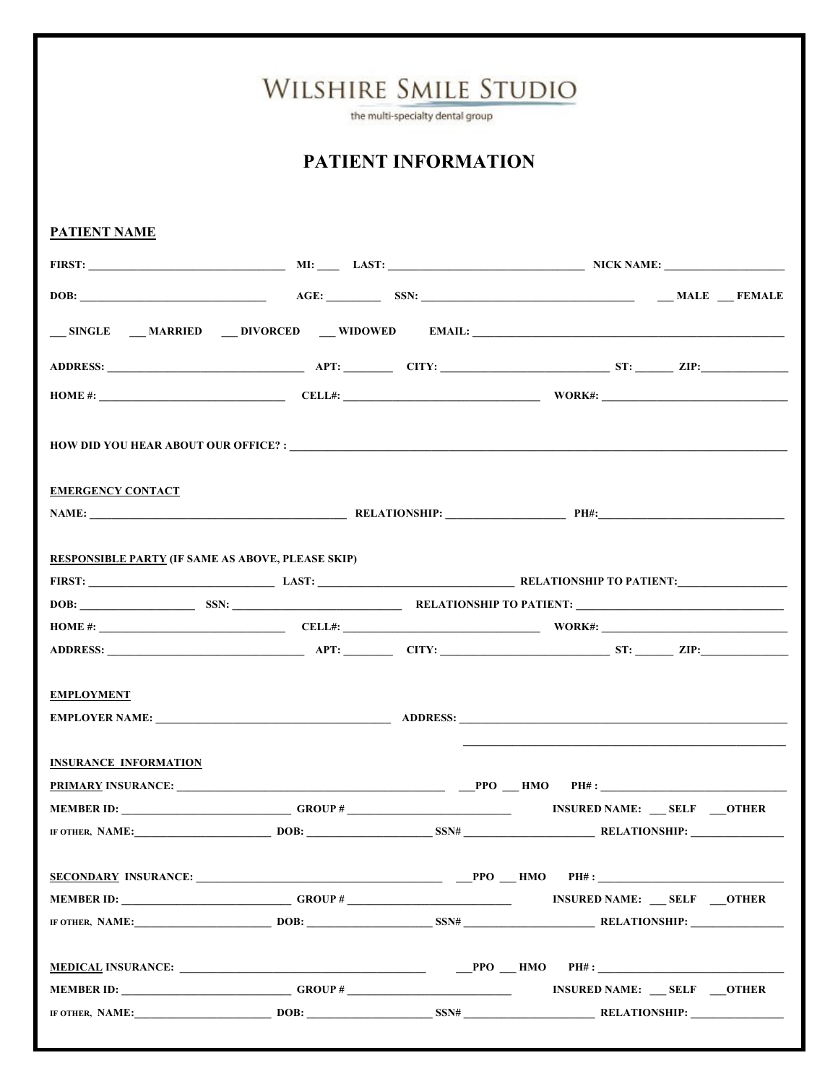|                                                          | Wilshire Smile Studio      | the multi-specialty dental group |                                                                            |
|----------------------------------------------------------|----------------------------|----------------------------------|----------------------------------------------------------------------------|
|                                                          | <b>PATIENT INFORMATION</b> |                                  |                                                                            |
| <b>PATIENT NAME</b>                                      |                            |                                  |                                                                            |
|                                                          |                            |                                  | FIRST: NICK NAME: NICK NAME:                                               |
|                                                          |                            |                                  |                                                                            |
|                                                          |                            |                                  |                                                                            |
|                                                          |                            |                                  |                                                                            |
|                                                          |                            |                                  |                                                                            |
| <b>EMERGENCY CONTACT</b>                                 |                            |                                  | NAME: PH#: PH#:                                                            |
| <b>RESPONSIBLE PARTY (IF SAME AS ABOVE, PLEASE SKIP)</b> |                            |                                  |                                                                            |
|                                                          |                            |                                  |                                                                            |
|                                                          |                            |                                  | DOB: SSN: SSN: SSN: RELATIONSHIP TO PATIENT:                               |
|                                                          |                            |                                  | HOME #: $\qquad \qquad \qquad \qquad$ CELL#: $\qquad \qquad \qquad$ WORK#: |
|                                                          |                            |                                  |                                                                            |
| <b>EMPLOYMENT</b>                                        |                            |                                  |                                                                            |
| <b>INSURANCE INFORMATION</b>                             |                            |                                  |                                                                            |
|                                                          |                            |                                  |                                                                            |
|                                                          |                            |                                  |                                                                            |
|                                                          |                            |                                  | IF OTHER, NAME: DOB: DOB: SSN# RELATIONSHIP: RELATIONSHIP:                 |
|                                                          |                            |                                  |                                                                            |
| MEMBER ID: GROUP #                                       |                            |                                  | <b>INSURED NAME:</b> SELF OTHER                                            |
|                                                          |                            |                                  | IF OTHER, NAME: DOB: DOB: SSN# RELATIONSHIP: RELATIONSHIP:                 |
|                                                          |                            |                                  |                                                                            |
|                                                          |                            |                                  |                                                                            |
|                                                          |                            |                                  | IF OTHER, NAME: DOB: DOB: SSN# RELATIONSHIP: RELATIONSHIP:                 |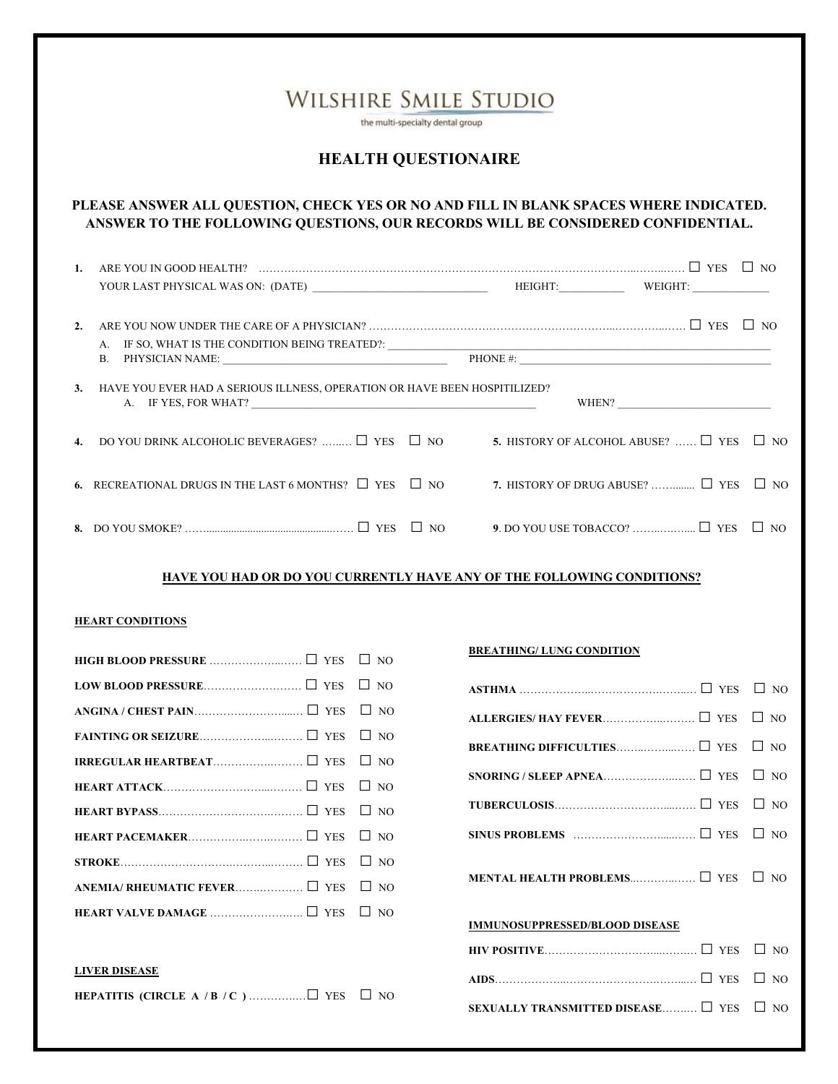|    | WILSHIRE SMILE STUDIO<br>the multi-specialty dental group<br><b>HEALTH QUESTIONAIRE</b>                                                                                                                                                                                                                                 |                                                |  |  |  |  |
|----|-------------------------------------------------------------------------------------------------------------------------------------------------------------------------------------------------------------------------------------------------------------------------------------------------------------------------|------------------------------------------------|--|--|--|--|
|    | PLEASE ANSWER ALL QUESTION, CHECK YES OR NO AND FILL IN BLANK SPACES WHERE INDICATED.<br>ANSWER TO THE FOLLOWING QUESTIONS, OUR RECORDS WILL BE CONSIDERED CONFIDENTIAL.                                                                                                                                                |                                                |  |  |  |  |
| 1. | ARE YOU IN GOOD HEALTH? $\ldots$ $\ldots$ $\ldots$ $\ldots$ $\ldots$ $\ldots$ $\ldots$ $\ldots$ $\ldots$ $\ldots$ $\ldots$ $\ldots$ $\ldots$ $\ldots$ $\ldots$ $\ldots$ $\ldots$ $\ldots$ $\ldots$ $\ldots$ $\ldots$ $\ldots$ $\ldots$ $\ldots$ $\ldots$ $\ldots$ $\ldots$ $\ldots$ $\ldots$ $\ldots$ $\ldots$ $\ldots$ |                                                |  |  |  |  |
|    |                                                                                                                                                                                                                                                                                                                         |                                                |  |  |  |  |
| 2. |                                                                                                                                                                                                                                                                                                                         |                                                |  |  |  |  |
| 3. | HAVE YOU EVER HAD A SERIOUS ILLNESS, OPERATION OR HAVE BEEN HOSPITILIZED?<br>A. IF YES, FOR WHAT?                                                                                                                                                                                                                       | WHEN?                                          |  |  |  |  |
|    | 4. DO YOU DRINK ALCOHOLIC BEVERAGES? $\Box$ YES $\Box$ NO 5. HISTORY OF ALCOHOL ABUSE? $\Box$ YES $\Box$ NO                                                                                                                                                                                                             |                                                |  |  |  |  |
|    | 6. RECREATIONAL DRUGS IN THE LAST 6 MONTHS? $\Box$ YES $\Box$ NO                                                                                                                                                                                                                                                        | 7. HISTORY OF DRUG ABUSE? $\Box$ YES $\Box$ NO |  |  |  |  |
|    |                                                                                                                                                                                                                                                                                                                         |                                                |  |  |  |  |
|    |                                                                                                                                                                                                                                                                                                                         |                                                |  |  |  |  |

#### **HAVE YOU HAD OR DO YOU CURRENTLY HAVE ANY OF THE FOLLOWING CONDITIONS?**

#### **HEART CONDITIONS**

#### **LIVER DISEASE**

|--|--|--|--|--|--|

#### **BREATHING/ LUNG CONDITION**

| ALLERGIES/ HAY FEVER □ YES □ NO                                                                                                              |  |  |  |  |
|----------------------------------------------------------------------------------------------------------------------------------------------|--|--|--|--|
|                                                                                                                                              |  |  |  |  |
|                                                                                                                                              |  |  |  |  |
|                                                                                                                                              |  |  |  |  |
| SINUS PROBLEMS $\ldots$ $\ldots$ $\ldots$ $\ldots$ $\ldots$ $\ldots$ $\ldots$ $\ldots$ $\ldots$ $\ldots$ $\ldots$ $\ldots$ $\ldots$ $\ldots$ |  |  |  |  |
| MENTAL HEALTH PROBLEMS I YES I NO                                                                                                            |  |  |  |  |
| <b>IMMUNOSUPPRESSED/BLOOD DISEASE</b>                                                                                                        |  |  |  |  |
|                                                                                                                                              |  |  |  |  |
|                                                                                                                                              |  |  |  |  |
| SEXUALLY TRANSMITTED DISEASE $\Box$ YES $\Box$ NO                                                                                            |  |  |  |  |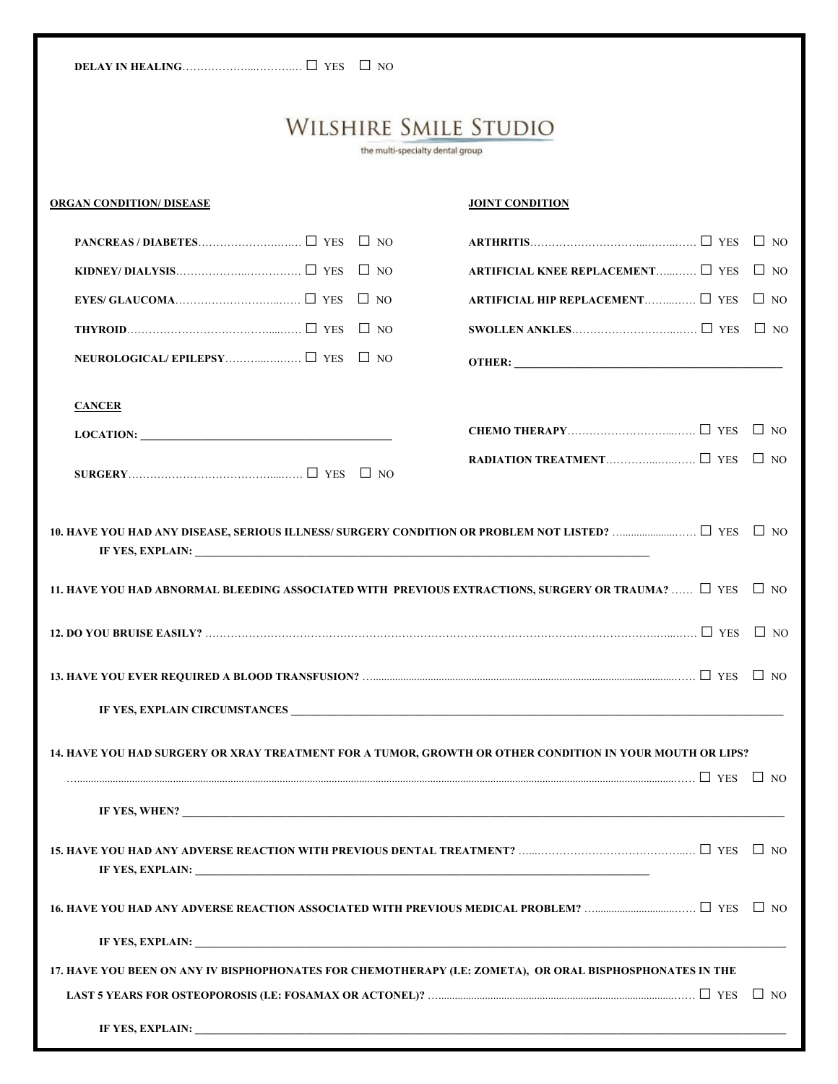the multi-specialty dental group

| <b>ORGAN CONDITION/ DISEASE</b>                                                                                                                                                                                                                                                                                                                                                                                                                                                                                                                                  | <b>JOINT CONDITION</b>                           |  |  |  |
|------------------------------------------------------------------------------------------------------------------------------------------------------------------------------------------------------------------------------------------------------------------------------------------------------------------------------------------------------------------------------------------------------------------------------------------------------------------------------------------------------------------------------------------------------------------|--------------------------------------------------|--|--|--|
|                                                                                                                                                                                                                                                                                                                                                                                                                                                                                                                                                                  |                                                  |  |  |  |
|                                                                                                                                                                                                                                                                                                                                                                                                                                                                                                                                                                  | ARTIFICIAL KNEE REPLACEMENT $\Box$ YES $\Box$ NO |  |  |  |
|                                                                                                                                                                                                                                                                                                                                                                                                                                                                                                                                                                  | ARTIFICIAL HIP REPLACEMENT □ YES □ NO            |  |  |  |
|                                                                                                                                                                                                                                                                                                                                                                                                                                                                                                                                                                  |                                                  |  |  |  |
| NEUROLOGICAL/EPILEPSY □ YES □ NO                                                                                                                                                                                                                                                                                                                                                                                                                                                                                                                                 |                                                  |  |  |  |
| <b>CANCER</b>                                                                                                                                                                                                                                                                                                                                                                                                                                                                                                                                                    |                                                  |  |  |  |
| $\text{LOCATION:}\n \underline{\hspace{2cm}}\n \underline{\hspace{2cm}}\n \underline{\hspace{2cm}}\n \underline{\hspace{2cm}}\n \underline{\hspace{2cm}}\n \underline{\hspace{2cm}}\n \underline{\hspace{2cm}}\n \underline{\hspace{2cm}}\n \underline{\hspace{2cm}}\n \underline{\hspace{2cm}}\n \underline{\hspace{2cm}}\n \underline{\hspace{2cm}}\n \underline{\hspace{2cm}}\n \underline{\hspace{2cm}}\n \underline{\hspace{2cm}}\n \underline{\hspace{2cm}}\n \underline{\hspace{2cm}}\n \underline{\hspace{2cm}}\n \underline{\hspace{2cm}}\n \underline$ |                                                  |  |  |  |
|                                                                                                                                                                                                                                                                                                                                                                                                                                                                                                                                                                  |                                                  |  |  |  |
|                                                                                                                                                                                                                                                                                                                                                                                                                                                                                                                                                                  |                                                  |  |  |  |
| IF YES, EXPLAIN:                                                                                                                                                                                                                                                                                                                                                                                                                                                                                                                                                 |                                                  |  |  |  |
| 11. HAVE YOU HAD ABNORMAL BLEEDING ASSOCIATED WITH PREVIOUS EXTRACTIONS, SURGERY OR TRAUMA? $\Box$ YES $\Box$ NO                                                                                                                                                                                                                                                                                                                                                                                                                                                 |                                                  |  |  |  |
|                                                                                                                                                                                                                                                                                                                                                                                                                                                                                                                                                                  |                                                  |  |  |  |
|                                                                                                                                                                                                                                                                                                                                                                                                                                                                                                                                                                  |                                                  |  |  |  |
|                                                                                                                                                                                                                                                                                                                                                                                                                                                                                                                                                                  |                                                  |  |  |  |
| 14. HAVE YOU HAD SURGERY OR XRAY TREATMENT FOR A TUMOR, GROWTH OR OTHER CONDITION IN YOUR MOUTH OR LIPS?                                                                                                                                                                                                                                                                                                                                                                                                                                                         |                                                  |  |  |  |
|                                                                                                                                                                                                                                                                                                                                                                                                                                                                                                                                                                  |                                                  |  |  |  |
|                                                                                                                                                                                                                                                                                                                                                                                                                                                                                                                                                                  |                                                  |  |  |  |
|                                                                                                                                                                                                                                                                                                                                                                                                                                                                                                                                                                  |                                                  |  |  |  |
|                                                                                                                                                                                                                                                                                                                                                                                                                                                                                                                                                                  |                                                  |  |  |  |
|                                                                                                                                                                                                                                                                                                                                                                                                                                                                                                                                                                  |                                                  |  |  |  |
| 17. HAVE YOU BEEN ON ANY IV BISPHOPHONATES FOR CHEMOTHERAPY (I.E: ZOMETA), OR ORAL BISPHOSPHONATES IN THE                                                                                                                                                                                                                                                                                                                                                                                                                                                        |                                                  |  |  |  |
|                                                                                                                                                                                                                                                                                                                                                                                                                                                                                                                                                                  |                                                  |  |  |  |
|                                                                                                                                                                                                                                                                                                                                                                                                                                                                                                                                                                  |                                                  |  |  |  |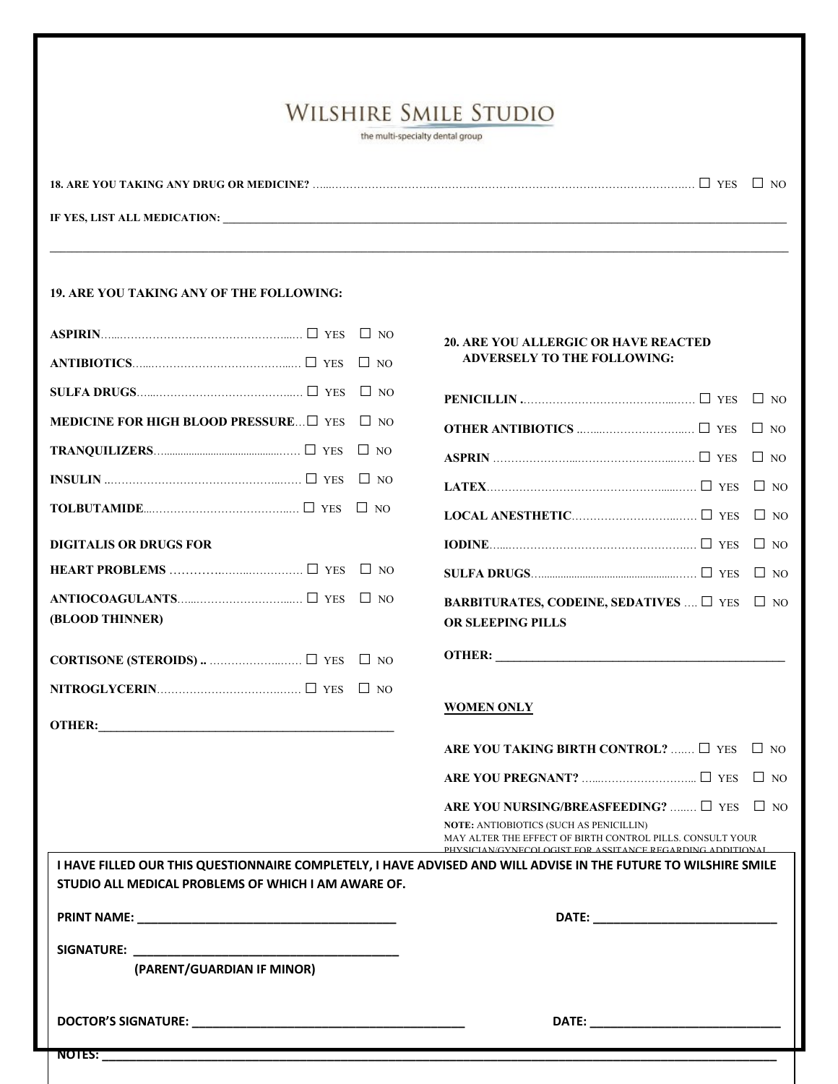the multi-specialty dental group

 $\mathcal{L} = \{ \mathcal{L} = \{ \mathcal{L} = \{ \mathcal{L} = \{ \mathcal{L} = \{ \mathcal{L} = \{ \mathcal{L} = \{ \mathcal{L} = \{ \mathcal{L} = \{ \mathcal{L} = \{ \mathcal{L} = \{ \mathcal{L} = \{ \mathcal{L} = \{ \mathcal{L} = \{ \mathcal{L} = \{ \mathcal{L} = \{ \mathcal{L} = \{ \mathcal{L} = \{ \mathcal{L} = \{ \mathcal{L} = \{ \mathcal{L} = \{ \mathcal{L} = \{ \mathcal{L} = \{ \mathcal{L} = \{ \mathcal{$ 

**18. ARE YOU TAKING ANY DRUG OR MEDICINE?** …...…………………………………………………………………………………….… □ YES □ NO

**IF YES, LIST ALL MEDICATION:** 

#### **19. ARE YOU TAKING ANY OF THE FOLLOWING:**

|                            | NOTES:                                              |           |                                                                                                                                                                          |           |
|----------------------------|-----------------------------------------------------|-----------|--------------------------------------------------------------------------------------------------------------------------------------------------------------------------|-----------|
|                            |                                                     |           |                                                                                                                                                                          |           |
|                            | (PARENT/GUARDIAN IF MINOR)                          |           |                                                                                                                                                                          |           |
| SIGNATURE: www.common.com/ |                                                     |           |                                                                                                                                                                          |           |
|                            |                                                     |           |                                                                                                                                                                          |           |
|                            | STUDIO ALL MEDICAL PROBLEMS OF WHICH I AM AWARE OF. |           |                                                                                                                                                                          |           |
|                            |                                                     |           | I HAVE FILLED OUR THIS QUESTIONNAIRE COMPLETELY, I HAVE ADVISED AND WILL ADVISE IN THE FUTURE TO WILSHIRE SMILE                                                          |           |
|                            |                                                     |           | <b>NOTE: ANTIOBIOTICS (SUCH AS PENICILLIN)</b><br>MAY ALTER THE EFFECT OF BIRTH CONTROL PILLS. CONSULT YOUR<br>PHYSICIAN/GYNECOLOGIST FOR ASSITANCE REGARDING ADDITIONAL |           |
|                            |                                                     |           | ARE YOU NURSING/BREASFEEDING? $\Box$ YES $\Box$ NO                                                                                                                       |           |
|                            |                                                     |           |                                                                                                                                                                          | $\Box$ NO |
|                            |                                                     |           | ARE YOU TAKING BIRTH CONTROL?  □ YES □ NO                                                                                                                                |           |
|                            |                                                     |           | <b>WOMEN ONLY</b>                                                                                                                                                        |           |
|                            |                                                     | $\Box$ NO |                                                                                                                                                                          |           |
|                            |                                                     | $\Box$ NO |                                                                                                                                                                          |           |
|                            | (BLOOD THINNER)                                     |           | OR SLEEPING PILLS                                                                                                                                                        |           |
|                            |                                                     | $\Box$ NO | BARBITURATES, CODEINE, SEDATIVES $\Box$ YES                                                                                                                              | $\Box$ NO |
|                            |                                                     | $\Box$ NO |                                                                                                                                                                          | $\Box$ NO |
|                            | <b>DIGITALIS OR DRUGS FOR</b>                       |           |                                                                                                                                                                          | $\Box$ NO |
|                            |                                                     |           |                                                                                                                                                                          | $\Box$ NO |
|                            |                                                     | $\Box$ NO |                                                                                                                                                                          | $\Box$ NO |
|                            |                                                     | $\Box$ NO |                                                                                                                                                                          | $\Box$ NO |
|                            | <b>MEDICINE FOR HIGH BLOOD PRESSURE</b> I YES       | $\Box$ NO |                                                                                                                                                                          | $\Box$ No |
|                            |                                                     | $\Box$ NO |                                                                                                                                                                          |           |
|                            |                                                     | $\Box$ NO | <b>ADVERSELY TO THE FOLLOWING:</b>                                                                                                                                       |           |
|                            |                                                     |           | <b>20. ARE YOU ALLERGIC OR HAVE REACTED</b>                                                                                                                              |           |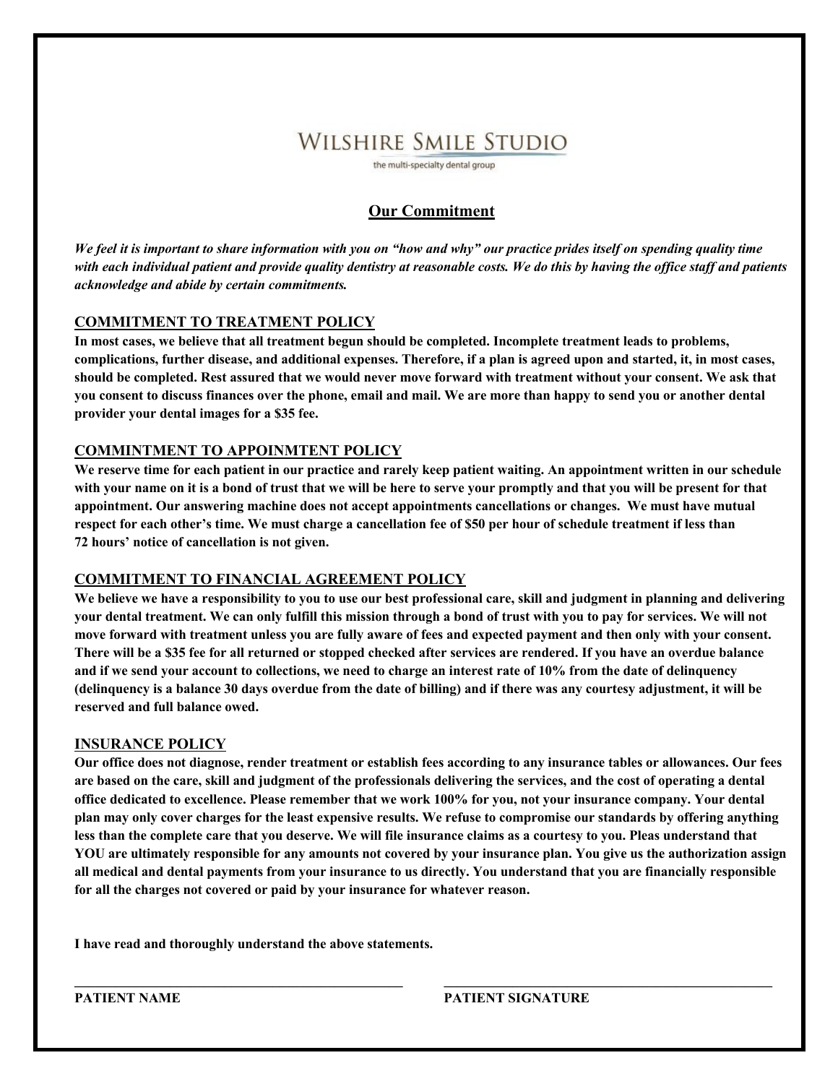the multi-specialty dental group

#### **Our Commitment**

*We feel it is important to share information with you on "how and why" our practice prides itself on spending quality time with each individual patient and provide quality dentistry at reasonable costs. We do this by having the office staff and patients acknowledge and abide by certain commitments.* 

#### **COMMITMENT TO TREATMENT POLICY**

**In most cases, we believe that all treatment begun should be completed. Incomplete treatment leads to problems, complications, further disease, and additional expenses. Therefore, if a plan is agreed upon and started, it, in most cases, should be completed. Rest assured that we would never move forward with treatment without your consent. We ask that you consent to discuss finances over the phone, email and mail. We are more than happy to send you or another dental provider your dental images for a \$35 fee.** 

#### **COMMINTMENT TO APPOINMTENT POLICY**

**We reserve time for each patient in our practice and rarely keep patient waiting. An appointment written in our schedule with your name on it is a bond of trust that we will be here to serve your promptly and that you will be present for that appointment. Our answering machine does not accept appointments cancellations or changes. We must have mutual respect for each other's time. We must charge a cancellation fee of \$50 per hour of schedule treatment if less than 72 hours' notice of cancellation is not given.** 

#### **COMMITMENT TO FINANCIAL AGREEMENT POLICY**

**We believe we have a responsibility to you to use our best professional care, skill and judgment in planning and delivering your dental treatment. We can only fulfill this mission through a bond of trust with you to pay for services. We will not move forward with treatment unless you are fully aware of fees and expected payment and then only with your consent. There will be a \$35 fee for all returned or stopped checked after services are rendered. If you have an overdue balance and if we send your account to collections, we need to charge an interest rate of 10% from the date of delinquency (delinquency is a balance 30 days overdue from the date of billing) and if there was any courtesy adjustment, it will be reserved and full balance owed.** 

#### **INSURANCE POLICY**

**Our office does not diagnose, render treatment or establish fees according to any insurance tables or allowances. Our fees are based on the care, skill and judgment of the professionals delivering the services, and the cost of operating a dental office dedicated to excellence. Please remember that we work 100% for you, not your insurance company. Your dental plan may only cover charges for the least expensive results. We refuse to compromise our standards by offering anything less than the complete care that you deserve. We will file insurance claims as a courtesy to you. Pleas understand that YOU are ultimately responsible for any amounts not covered by your insurance plan. You give us the authorization assign all medical and dental payments from your insurance to us directly. You understand that you are financially responsible for all the charges not covered or paid by your insurance for whatever reason.**

**\_\_\_\_\_\_\_\_\_\_\_\_\_\_\_\_\_\_\_\_\_\_\_\_\_\_\_\_\_\_\_\_\_\_\_\_\_\_\_\_\_\_\_\_\_\_\_\_ \_\_\_\_\_\_\_\_\_\_\_\_\_\_\_\_\_\_\_\_\_\_\_\_\_\_\_\_\_\_\_\_\_\_\_\_\_\_\_\_\_\_\_\_\_\_\_\_**

**I have read and thoroughly understand the above statements.** 

**PATIENT NAME PATIENT SIGNATURE**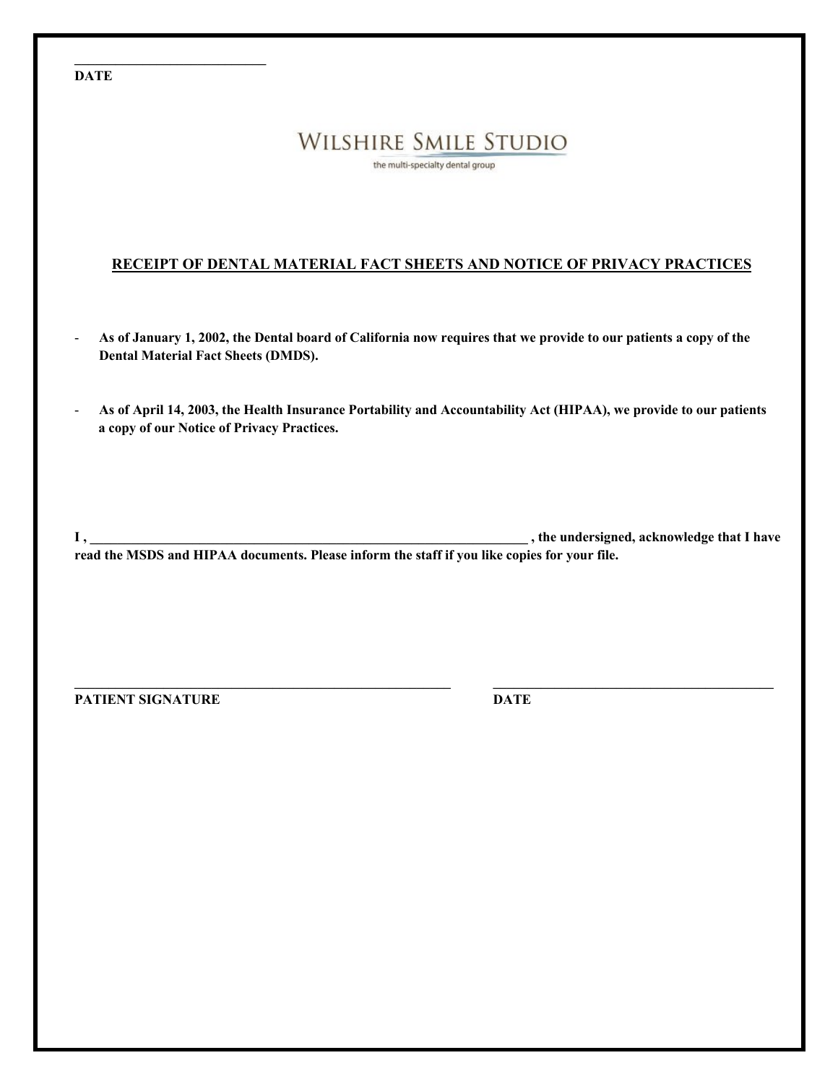#### **DATE**

**\_\_\_\_\_\_\_\_\_\_\_\_\_\_\_\_\_\_\_\_\_\_\_\_\_\_\_\_**

## **WILSHIRE SMILE STUDIO**

the multi-specialty dental group

#### **RECEIPT OF DENTAL MATERIAL FACT SHEETS AND NOTICE OF PRIVACY PRACTICES**

- **As of January 1, 2002, the Dental board of California now requires that we provide to our patients a copy of the Dental Material Fact Sheets (DMDS).**
- **As of April 14, 2003, the Health Insurance Portability and Accountability Act (HIPAA), we provide to our patients a copy of our Notice of Privacy Practices.**

**I**, the undersigned, acknowledge that I have **read the MSDS and HIPAA documents. Please inform the staff if you like copies for your file.**

**\_\_\_\_\_\_\_\_\_\_\_\_\_\_\_\_\_\_\_\_\_\_\_\_\_\_\_\_\_\_\_\_\_\_\_\_\_\_\_\_\_\_\_\_\_\_\_\_\_\_\_\_\_\_\_ \_\_\_\_\_\_\_\_\_\_\_\_\_\_\_\_\_\_\_\_\_\_\_\_\_\_\_\_\_\_\_\_\_\_\_\_\_\_\_\_\_**

**PATIENT SIGNATURE DATE**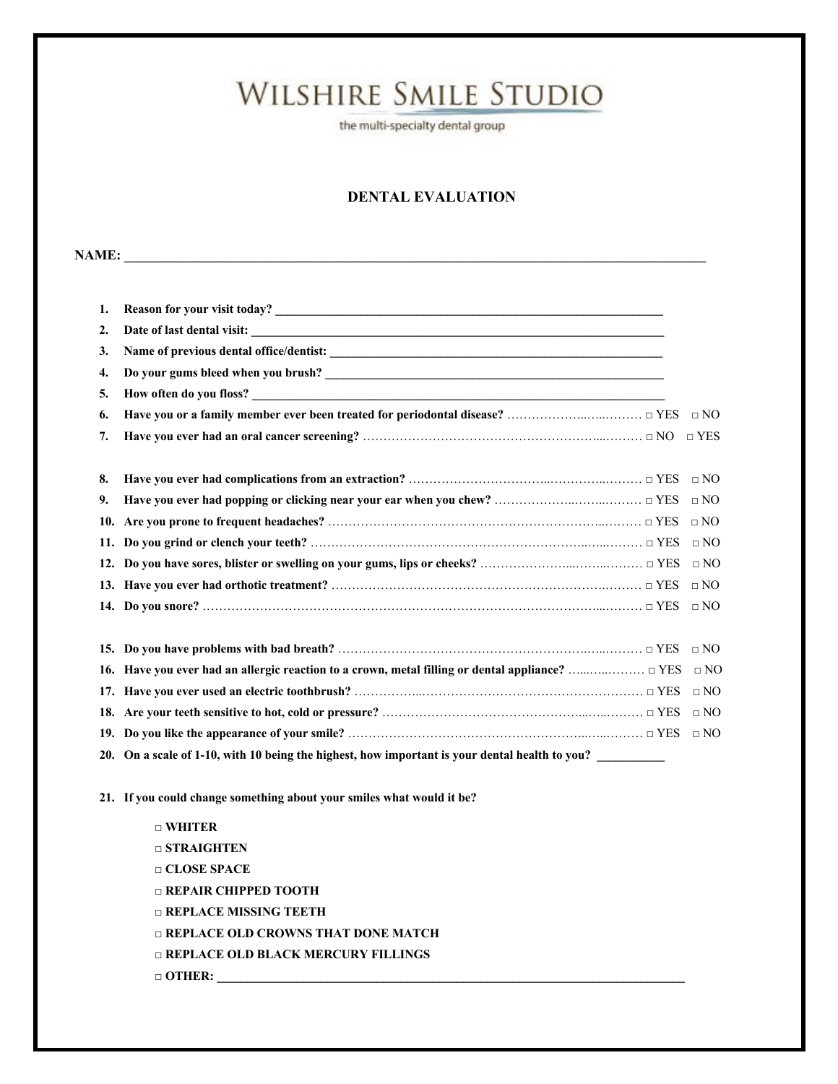the multi-specialty dental group

#### **DENTAL EVALUATION**

#### **NAME:**  $\blacksquare$

| 1. |                                                                                                  |              |
|----|--------------------------------------------------------------------------------------------------|--------------|
| 2. |                                                                                                  |              |
| 3. |                                                                                                  |              |
| 4. |                                                                                                  |              |
| 5. |                                                                                                  |              |
| 6. |                                                                                                  | $\Box$ NO    |
| 7. |                                                                                                  | $\neg$ YES   |
|    |                                                                                                  |              |
| 8. |                                                                                                  | $\Box$ NO    |
| 9. |                                                                                                  | $\Box$ NO    |
|    |                                                                                                  | $\square$ NO |
|    |                                                                                                  | $\Box$ NO    |
|    |                                                                                                  | $\Box$ NO    |
|    |                                                                                                  | $\Box$ NO    |
|    |                                                                                                  | $\Box$ NO    |
|    |                                                                                                  |              |
|    |                                                                                                  | $\Box$ NO    |
|    | 16. Have you ever had an allergic reaction to a crown, metal filling or dental appliance?  □ YES | $\Box$ NO    |
|    |                                                                                                  | $\Box$ NO    |
|    |                                                                                                  | $\Box$ NO    |
|    |                                                                                                  | $\Box$ NO    |
|    | 20. On a scale of 1-10, with 10 being the highest, how important is your dental health to you?   |              |

**21. If you could change something about your smiles what would it be?**

□ **WHITER** □ **STRAIGHTEN □ CLOSE SPACE □ REPAIR CHIPPED TOOTH □ REPLACE MISSING TEETH □ REPLACE OLD CROWNS THAT DONE MATCH □ REPLACE OLD BLACK MERCURY FILLINGS □ OTHER: \_\_\_\_\_\_\_\_\_\_\_\_\_\_\_\_\_\_\_\_\_\_\_\_\_\_\_\_\_\_\_\_\_\_\_\_\_\_\_\_\_\_\_\_\_\_\_\_\_\_\_\_\_\_\_\_\_\_\_\_\_\_\_\_\_\_\_\_\_\_\_\_\_\_\_\_**